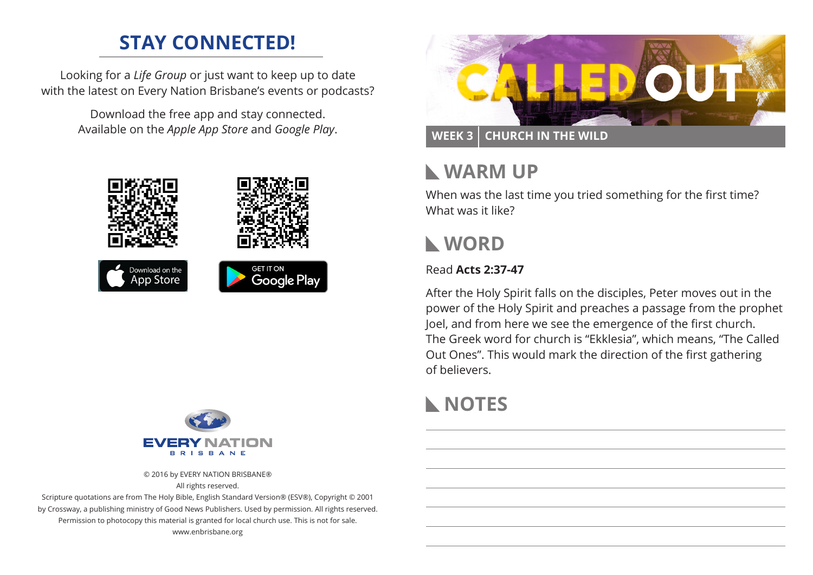# **STAY CONNECTED!**

Looking for a *Life Group* or just want to keep up to date with the latest on Every Nation Brisbane's events or podcasts?

> Download the free app and stay connected. Available on the *Apple App Store* and *Google Play*.





© 2016 by EVERY NATION BRISBANE® All rights reserved.

Scripture quotations are from The Holy Bible, English Standard Version® (ESV®), Copyright © 2001 by Crossway, a publishing ministry of Good News Publishers. Used by permission. All rights reserved. Permission to photocopy this material is granted for local church use. This is not for sale. www.enbrisbane.org



### **WEEK 3 CHURCH IN THE WILD**

## **WARM UP**

When was the last time you tried something for the first time? What was it like?

## **WORD**

#### Read **Acts 2:37-47**

After the Holy Spirit falls on the disciples, Peter moves out in the power of the Holy Spirit and preaches a passage from the prophet Joel, and from here we see the emergence of the first church. The Greek word for church is "Ekklesia", which means, "The Called Out Ones". This would mark the direction of the first gathering of believers.

# **NOTES**